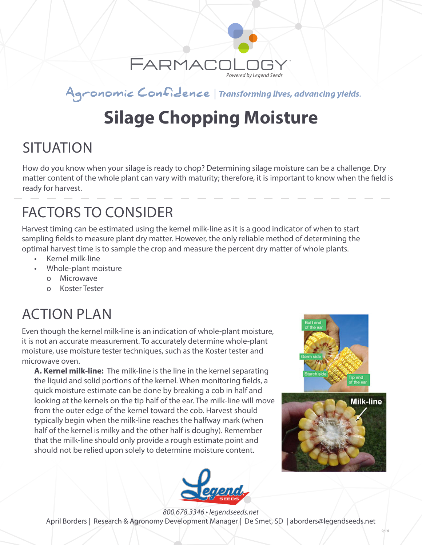

#### Agronomic Confidence | Transforming lives, advancing yields.

# **Silage Chopping Moisture**

### **SITUATION**

How do you know when your silage is ready to chop? Determining silage moisture can be a challenge. Dry matter content of the whole plant can vary with maturity; therefore, it is important to know when the field is ready for harvest.

## FACTORS TO CONSIDER

Harvest timing can be estimated using the kernel milk-line as it is a good indicator of when to start sampling fields to measure plant dry matter. However, the only reliable method of determining the optimal harvest time is to sample the crop and measure the percent dry matter of whole plants.

- Kernel milk-line
- Whole-plant moisture
	- o Microwave
	- o Koster Tester

### ACTION PLAN

Even though the kernel milk-line is an indication of whole-plant moisture, it is not an accurate measurement. To accurately determine whole-plant moisture, use moisture tester techniques, such as the Koster tester and microwave oven.

**A. Kernel milk-line:** The milk-line is the line in the kernel separating the liquid and solid portions of the kernel. When monitoring fields, a quick moisture estimate can be done by breaking a cob in half and looking at the kernels on the tip half of the ear. The milk-line will move from the outer edge of the kernel toward the cob. Harvest should typically begin when the milk-line reaches the halfway mark (when half of the kernel is milky and the other half is doughy). Remember that the milk-line should only provide a rough estimate point and should not be relied upon solely to determine moisture content.







*800.678.3346 • legendseeds.net* April Borders | Research & Agronomy Development Manager | De Smet, SD | aborders@legendseeds.net